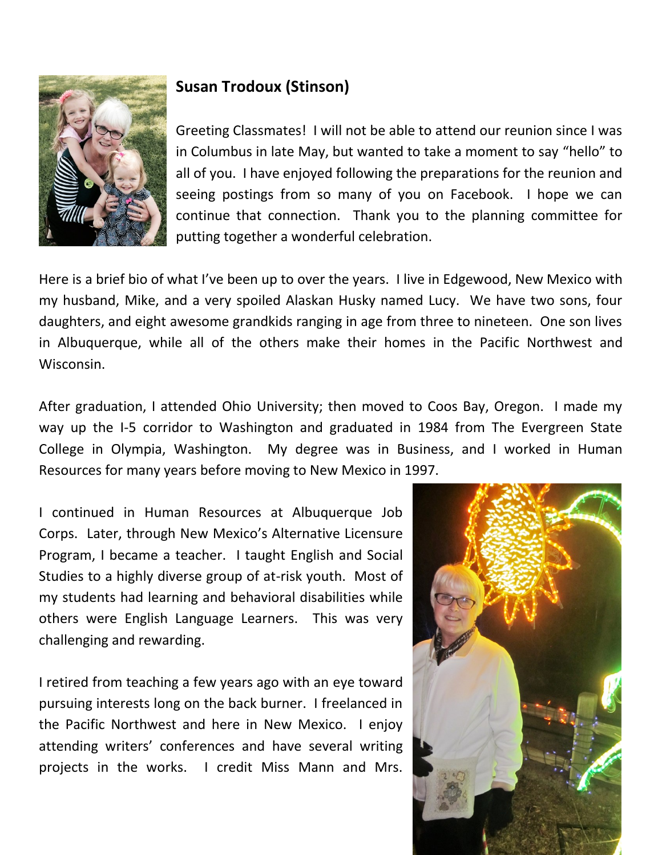

## **Susan Trodoux (Stinson)**

Greeting Classmates! I will not be able to attend our reunion since I was in Columbus in late May, but wanted to take a moment to say "hello" to all of you. I have enjoyed following the preparations for the reunion and seeing postings from so many of you on Facebook. I hope we can continue that connection. Thank you to the planning committee for putting together a wonderful celebration.

Here is a brief bio of what I've been up to over the years. I live in Edgewood, New Mexico with my husband, Mike, and a very spoiled Alaskan Husky named Lucy. We have two sons, four daughters, and eight awesome grandkids ranging in age from three to nineteen. One son lives in Albuquerque, while all of the others make their homes in the Pacific Northwest and Wisconsin.

After graduation, I attended Ohio University; then moved to Coos Bay, Oregon. I made my way up the I-5 corridor to Washington and graduated in 1984 from The Evergreen State College in Olympia, Washington. My degree was in Business, and I worked in Human Resources for many years before moving to New Mexico in 1997.

I continued in Human Resources at Albuquerque Job Corps. Later, through New Mexico's Alternative Licensure Program, I became a teacher. I taught English and Social Studies to a highly diverse group of at-risk youth. Most of my students had learning and behavioral disabilities while others were English Language Learners. This was very challenging and rewarding.

I retired from teaching a few years ago with an eye toward pursuing interests long on the back burner. I freelanced in the Pacific Northwest and here in New Mexico. I enjoy attending writers' conferences and have several writing projects in the works. I credit Miss Mann and Mrs.